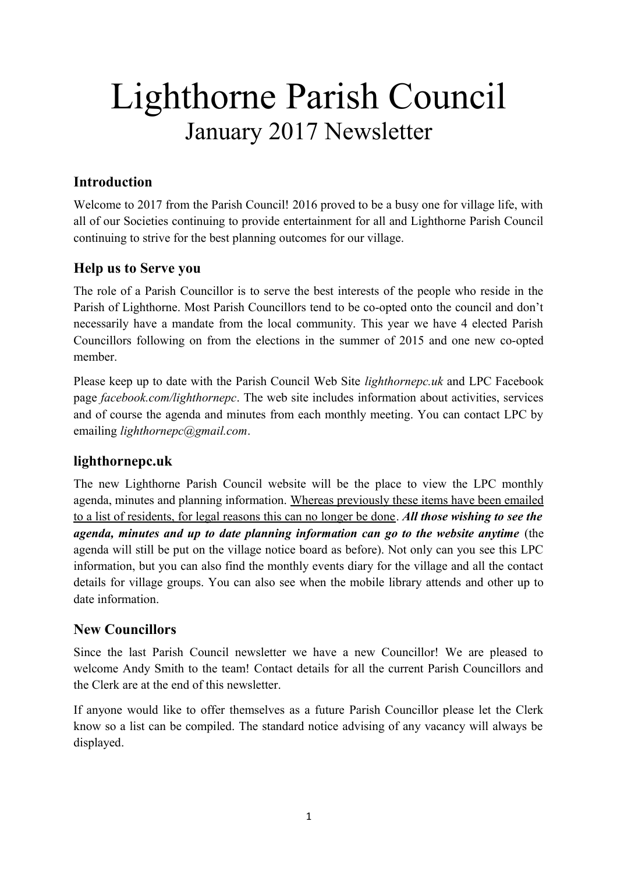# Lighthorne Parish Council January 2017 Newsletter

# **Introduction**

Welcome to 2017 from the Parish Council! 2016 proved to be a busy one for village life, with all of our Societies continuing to provide entertainment for all and Lighthorne Parish Council continuing to strive for the best planning outcomes for our village.

## **Help us to Serve you**

The role of a Parish Councillor is to serve the best interests of the people who reside in the Parish of Lighthorne. Most Parish Councillors tend to be co-opted onto the council and don't necessarily have a mandate from the local community. This year we have 4 elected Parish Councillors following on from the elections in the summer of 2015 and one new co-opted member.

Please keep up to date with the Parish Council Web Site *[lighthornepc.uk](http://www.lighthornepc.uk/)* and LPC Facebook page *[facebook.com/lighthornepc](https://www.facebook.com/lighthornepc)*. The web site includes information about activities, services and of course the agenda and minutes from each monthly meeting. You can contact LPC by emailing *[lighthornepc@gmail.com](mailto:lighthornepc@gmail.com)*.

# **[lighthornepc.uk](http://www.lighthornepc.uk/)**

The new Lighthorne Parish Council website will be the place to view the LPC monthly agenda, minutes and planning information. Whereas previously these items have been emailed to a list of residents, for legal reasons this can no longer be done. *All those wishing to see the agenda, minutes and up to date planning information can go to the website anytime* (the agenda will still be put on the village notice board as before). Not only can you see this LPC information, but you can also find the monthly events diary for the village and all the contact details for village groups. You can also see when the mobile library attends and other up to date information.

# **New Councillors**

Since the last Parish Council newsletter we have a new Councillor! We are pleased to welcome Andy Smith to the team! Contact details for all the current Parish Councillors and the Clerk are at the end of this newsletter.

If anyone would like to offer themselves as a future Parish Councillor please let the Clerk know so a list can be compiled. The standard notice advising of any vacancy will always be displayed.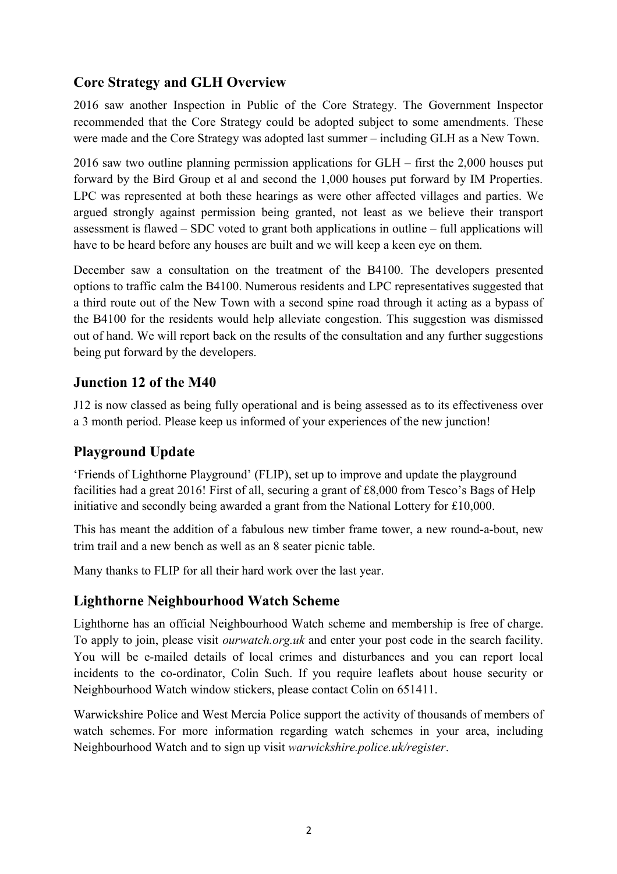# **Core Strategy and GLH Overview**

2016 saw another Inspection in Public of the Core Strategy. The Government Inspector recommended that the Core Strategy could be adopted subject to some amendments. These were made and the Core Strategy was adopted last summer – including GLH as a New Town.

2016 saw two outline planning permission applications for GLH – first the 2,000 houses put forward by the Bird Group et al and second the 1,000 houses put forward by IM Properties. LPC was represented at both these hearings as were other affected villages and parties. We argued strongly against permission being granted, not least as we believe their transport assessment is flawed – SDC voted to grant both applications in outline – full applications will have to be heard before any houses are built and we will keep a keen eye on them.

December saw a consultation on the treatment of the B4100. The developers presented options to traffic calm the B4100. Numerous residents and LPC representatives suggested that a third route out of the New Town with a second spine road through it acting as a bypass of the B4100 for the residents would help alleviate congestion. This suggestion was dismissed out of hand. We will report back on the results of the consultation and any further suggestions being put forward by the developers.

#### **Junction 12 of the M40**

J12 is now classed as being fully operational and is being assessed as to its effectiveness over a 3 month period. Please keep us informed of your experiences of the new junction!

#### **Playground Update**

'Friends of Lighthorne Playground' (FLIP), set up to improve and update the playground facilities had a great 2016! First of all, securing a grant of £8,000 from Tesco's Bags of Help initiative and secondly being awarded a grant from the National Lottery for £10,000.

This has meant the addition of a fabulous new timber frame tower, a new round-a-bout, new trim trail and a new bench as well as an 8 seater picnic table.

Many thanks to FLIP for all their hard work over the last year.

#### **Lighthorne Neighbourhood Watch Scheme**

Lighthorne has an official Neighbourhood Watch scheme and membership is free of charge. To apply to join, please visit *[ourwatch.org.uk](http://ourwatch.org.uk/)* and enter your post code in the search facility. You will be e-mailed details of local crimes and disturbances and you can report local incidents to the co-ordinator, Colin Such. If you require leaflets about house security or Neighbourhood Watch window stickers, please contact Colin on 651411.

Warwickshire Police and West Mercia Police support the activity of thousands of members of watch schemes. For more information regarding watch schemes in your area, including Neighbourhood Watch and to sign up visit *[warwickshire.police.uk/register](https://www.warwickshire.police.uk/register)*.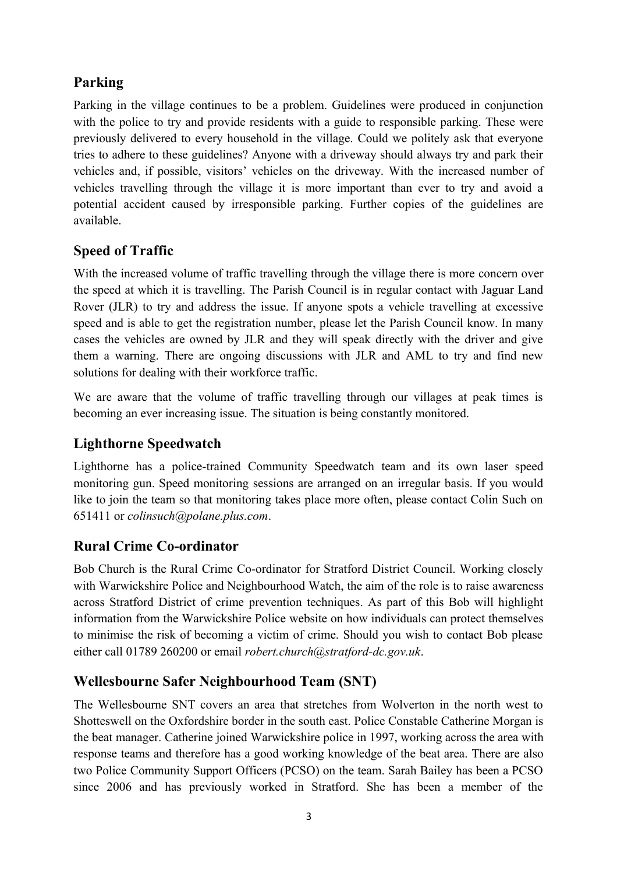# **Parking**

Parking in the village continues to be a problem. Guidelines were produced in conjunction with the police to try and provide residents with a guide to responsible parking. These were previously delivered to every household in the village. Could we politely ask that everyone tries to adhere to these guidelines? Anyone with a driveway should always try and park their vehicles and, if possible, visitors' vehicles on the driveway. With the increased number of vehicles travelling through the village it is more important than ever to try and avoid a potential accident caused by irresponsible parking. Further copies of the guidelines are available.

# **Speed of Traffic**

With the increased volume of traffic travelling through the village there is more concern over the speed at which it is travelling. The Parish Council is in regular contact with Jaguar Land Rover (JLR) to try and address the issue. If anyone spots a vehicle travelling at excessive speed and is able to get the registration number, please let the Parish Council know. In many cases the vehicles are owned by JLR and they will speak directly with the driver and give them a warning. There are ongoing discussions with JLR and AML to try and find new solutions for dealing with their workforce traffic.

We are aware that the volume of traffic travelling through our villages at peak times is becoming an ever increasing issue. The situation is being constantly monitored.

# **Lighthorne Speedwatch**

Lighthorne has a police-trained Community Speedwatch team and its own laser speed monitoring gun. Speed monitoring sessions are arranged on an irregular basis. If you would like to join the team so that monitoring takes place more often, please contact Colin Such on 651411 or *[colinsuch@polane.plus.com](mailto:colinsuch@polane.plus.com)*.

# **Rural Crime Co-ordinator**

Bob Church is the Rural Crime Co-ordinator for Stratford District Council. Working closely with Warwickshire Police and Neighbourhood Watch, the aim of the role is to raise awareness across Stratford District of crime prevention techniques. As part of this Bob will highlight information from the Warwickshire Police website on how individuals can protect themselves to minimise the risk of becoming a victim of crime. Should you wish to contact Bob please either call 01789 260200 or email *[robert.church@stratford-dc.gov.uk](mailto:robert.church@stratford-dc.gov.uk)*.

# **Wellesbourne Safer Neighbourhood Team (SNT)**

The Wellesbourne SNT covers an area that stretches from Wolverton in the north west to Shotteswell on the Oxfordshire border in the south east. Police Constable Catherine Morgan is the beat manager. Catherine joined Warwickshire police in 1997, working across the area with response teams and therefore has a good working knowledge of the beat area. There are also two Police Community Support Officers (PCSO) on the team. Sarah Bailey has been a PCSO since 2006 and has previously worked in Stratford. She has been a member of the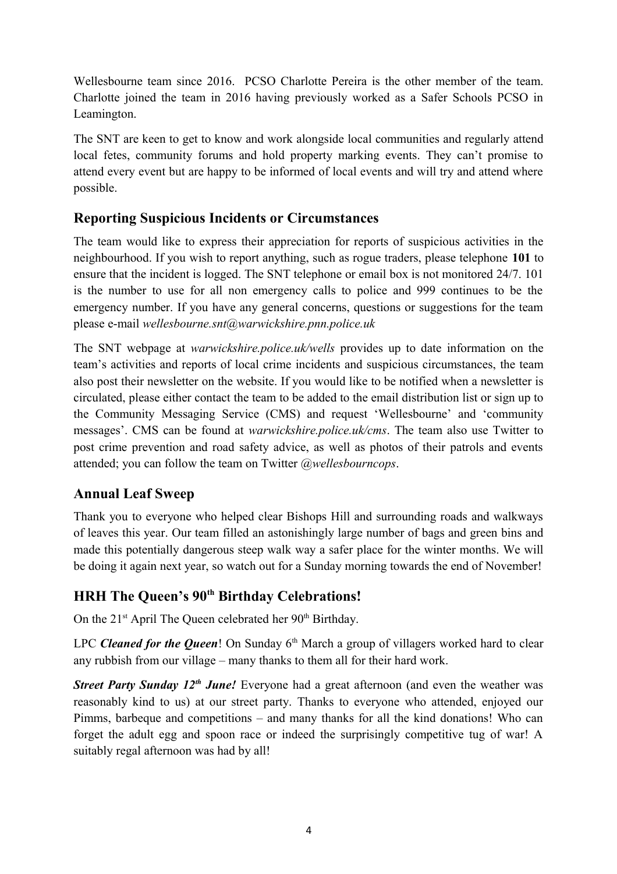Wellesbourne team since 2016. PCSO Charlotte Pereira is the other member of the team. Charlotte joined the team in 2016 having previously worked as a Safer Schools PCSO in Leamington.

The SNT are keen to get to know and work alongside local communities and regularly attend local fetes, community forums and hold property marking events. They can't promise to attend every event but are happy to be informed of local events and will try and attend where possible.

## **Reporting Suspicious Incidents or Circumstances**

The team would like to express their appreciation for reports of suspicious activities in the neighbourhood. If you wish to report anything, such as rogue traders, please telephone **101** to ensure that the incident is logged. The SNT telephone or email box is not monitored 24/7. 101 is the number to use for all non emergency calls to police and 999 continues to be the emergency number. If you have any general concerns, questions or suggestions for the team please e-mail *[wellesbourne.snt@warwickshire.pnn.police.uk](mailto:wellesbourne.snt@warwickshire.pnn.police.uk)*

The SNT webpage at *[warwickshire.police.uk/wells](https://www.warwickshire.police.uk/wells)* provides up to date information on the team's activities and reports of local crime incidents and suspicious circumstances, the team also post their newsletter on the website. If you would like to be notified when a newsletter is circulated, please either contact the team to be added to the email distribution list or sign up to the Community Messaging Service (CMS) and request 'Wellesbourne' and 'community messages'. CMS can be found at *[warwickshire.police.uk/cms](https://www.warwickshire.police.uk/cms)*. The team also use Twitter to post crime prevention and road safety advice, as well as photos of their patrols and events attended; you can follow the team on Twitter *[@wellesbourncops](https://twitter.com/wellesbourncops?lang=en)*.

#### **Annual Leaf Sweep**

Thank you to everyone who helped clear Bishops Hill and surrounding roads and walkways of leaves this year. Our team filled an astonishingly large number of bags and green bins and made this potentially dangerous steep walk way a safer place for the winter months. We will be doing it again next year, so watch out for a Sunday morning towards the end of November!

# **HRH The Queen's 90th Birthday Celebrations!**

On the  $21<sup>st</sup>$  April The Oueen celebrated her  $90<sup>th</sup>$  Birthday.

LPC *Cleaned for the Queen*! On Sunday 6<sup>th</sup> March a group of villagers worked hard to clear any rubbish from our village – many thanks to them all for their hard work.

*Street Party Sunday 12<sup>th</sup> June!* Everyone had a great afternoon (and even the weather was reasonably kind to us) at our street party. Thanks to everyone who attended, enjoyed our Pimms, barbeque and competitions – and many thanks for all the kind donations! Who can forget the adult egg and spoon race or indeed the surprisingly competitive tug of war! A suitably regal afternoon was had by all!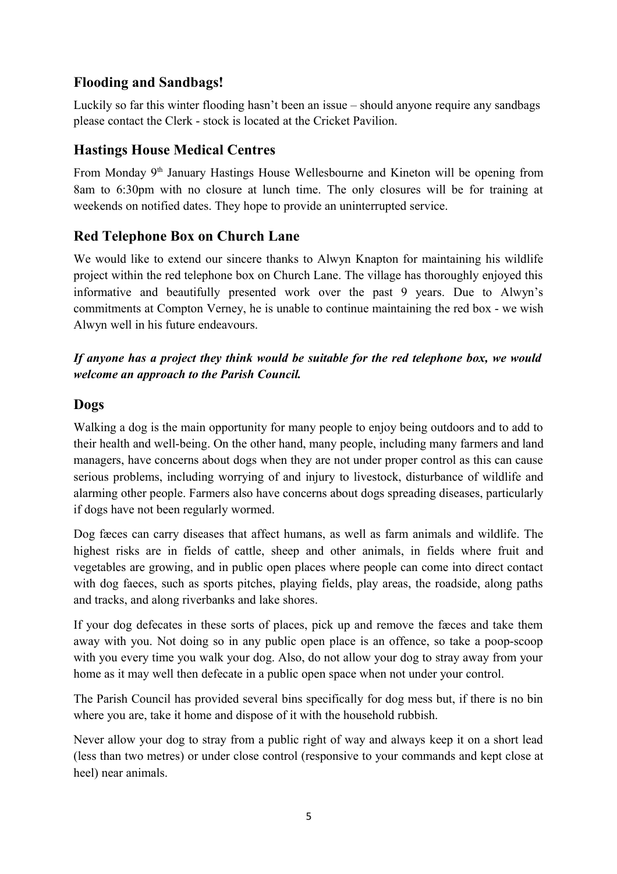## **Flooding and Sandbags!**

Luckily so far this winter flooding hasn't been an issue – should anyone require any sandbags please contact the Clerk - stock is located at the Cricket Pavilion.

#### **Hastings House Medical Centres**

From Monday 9<sup>th</sup> January Hastings House Wellesbourne and Kineton will be opening from 8am to 6:30pm with no closure at lunch time. The only closures will be for training at weekends on notified dates. They hope to provide an uninterrupted service.

## **Red Telephone Box on Church Lane**

We would like to extend our sincere thanks to Alwyn Knapton for maintaining his wildlife project within the red telephone box on Church Lane. The village has thoroughly enjoyed this informative and beautifully presented work over the past 9 years. Due to Alwyn's commitments at Compton Verney, he is unable to continue maintaining the red box - we wish Alwyn well in his future endeavours.

#### *If anyone has a project they think would be suitable for the red telephone box, we would welcome an approach to the Parish Council.*

#### **Dogs**

Walking a dog is the main opportunity for many people to enjoy being outdoors and to add to their health and well-being. On the other hand, many people, including many farmers and land managers, have concerns about dogs when they are not under proper control as this can cause serious problems, including worrying of and injury to livestock, disturbance of wildlife and alarming other people. Farmers also have concerns about dogs spreading diseases, particularly if dogs have not been regularly wormed.

Dog fæces can carry diseases that affect humans, as well as farm animals and wildlife. The highest risks are in fields of cattle, sheep and other animals, in fields where fruit and vegetables are growing, and in public open places where people can come into direct contact with dog faeces, such as sports pitches, playing fields, play areas, the roadside, along paths and tracks, and along riverbanks and lake shores.

If your dog defecates in these sorts of places, pick up and remove the fæces and take them away with you. Not doing so in any public open place is an offence, so take a poop-scoop with you every time you walk your dog. Also, do not allow your dog to stray away from your home as it may well then defecate in a public open space when not under your control.

The Parish Council has provided several bins specifically for dog mess but, if there is no bin where you are, take it home and dispose of it with the household rubbish.

Never allow your dog to stray from a public right of way and always keep it on a short lead (less than two metres) or under close control (responsive to your commands and kept close at heel) near animals.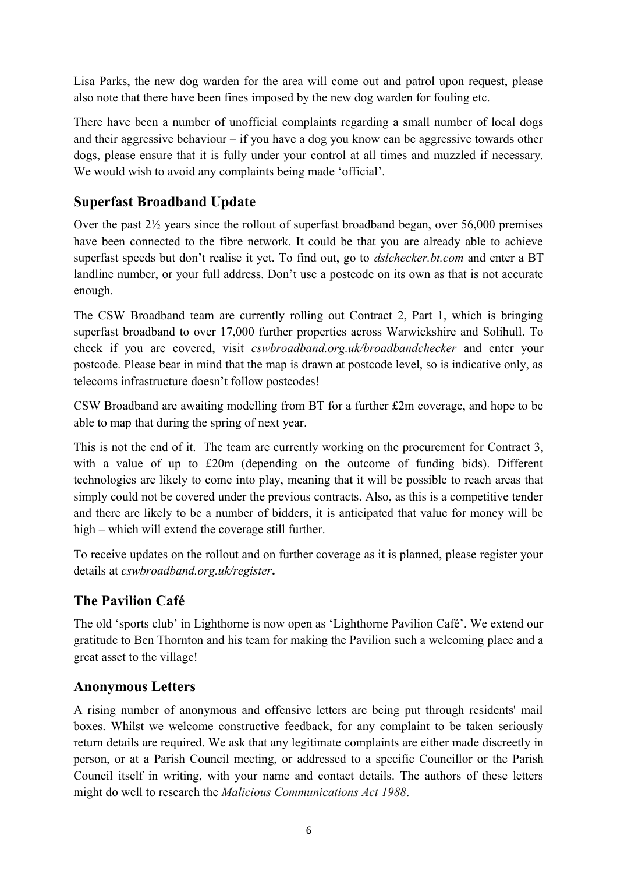Lisa Parks, the new dog warden for the area will come out and patrol upon request, please also note that there have been fines imposed by the new dog warden for fouling etc.

There have been a number of unofficial complaints regarding a small number of local dogs and their aggressive behaviour – if you have a dog you know can be aggressive towards other dogs, please ensure that it is fully under your control at all times and muzzled if necessary. We would wish to avoid any complaints being made 'official'.

# **Superfast Broadband Update**

Over the past 2½ years since the rollout of superfast broadband began, over 56,000 premises have been connected to the fibre network. It could be that you are already able to achieve superfast speeds but don't realise it yet. To find out, go to *[dslchecker.bt.com](http://www.dslchecker.bt.com/)* and enter a BT landline number, or your full address. Don't use a postcode on its own as that is not accurate enough.

The CSW Broadband team are currently rolling out Contract 2, Part 1, which is bringing superfast broadband to over 17,000 further properties across Warwickshire and Solihull. To check if you are covered, visit *[cswbroadband.org.uk/broadbandchecker](http://www.cswbroadband.org.uk/broadbandchecker)* and enter your postcode. Please bear in mind that the map is drawn at postcode level, so is indicative only, as telecoms infrastructure doesn't follow postcodes!

CSW Broadband are awaiting modelling from BT for a further £2m coverage, and hope to be able to map that during the spring of next year.

This is not the end of it. The team are currently working on the procurement for Contract 3, with a value of up to £20m (depending on the outcome of funding bids). Different technologies are likely to come into play, meaning that it will be possible to reach areas that simply could not be covered under the previous contracts. Also, as this is a competitive tender and there are likely to be a number of bidders, it is anticipated that value for money will be high – which will extend the coverage still further.

To receive updates on the rollout and on further coverage as it is planned, please register your details at *[cswbroadband.org.uk/register](http://www.cswbroadband.org.uk/register)***.**

# **The Pavilion Café**

The old 'sports club' in Lighthorne is now open as 'Lighthorne Pavilion Café'. We extend our gratitude to Ben Thornton and his team for making the Pavilion such a welcoming place and a great asset to the village!

# **Anonymous Letters**

A rising number of anonymous and offensive letters are being put through residents' mail boxes. Whilst we welcome constructive feedback, for any complaint to be taken seriously return details are required. We ask that any legitimate complaints are either made discreetly in person, or at a Parish Council meeting, or addressed to a specific Councillor or the Parish Council itself in writing, with your name and contact details. The authors of these letters might do well to research the *[Malicious Communications Act 1988](http://www.legislation.gov.uk/ukpga/1988/27/contents)*.